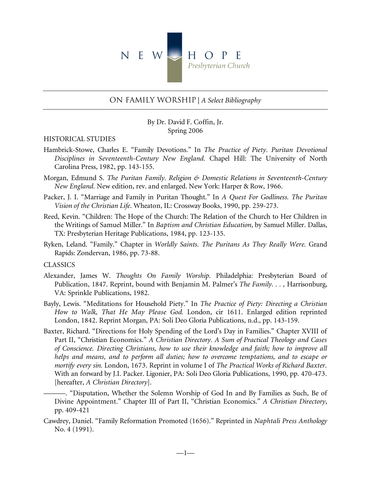

# On Family Worship | *A Select Bibliography*

By Dr. David F. Coffin, Jr. Spring 2006

## HISTORICAL STUDIES

- Hambrick-Stowe, Charles E. "Family Devotions." In *The Practice of Piety. Puritan Devotional Disciplines in Seventeenth-Century New England.* Chapel Hill: The University of North Carolina Press, 1982, pp. 143-155.
- Morgan, Edmund S. *The Puritan Family. Religion & Domestic Relations in Seventeenth-Century New England.* New edition, rev. and enlarged. New York: Harper & Row, 1966.
- Packer, J. I. "Marriage and Family in Puritan Thought." In *A Quest For Godliness. The Puritan Vision of the Christian Life*. Wheaton, IL: Crossway Books, 1990, pp. 259-273.
- Reed, Kevin. "Children: The Hope of the Church: The Relation of the Church to Her Children in the Writings of Samuel Miller." In *Baptism and Christian Education*, by Samuel Miller. Dallas, TX: Presbyterian Heritage Publications, 1984, pp. 123-135.
- Ryken, Leland. "Family." Chapter in *Worldly Saints. The Puritans As They Really Were.* Grand Rapids: Zondervan, 1986, pp. 73-88.

#### CLASSICS

- Alexander, James W. *Thoughts On Family Worship.* Philadelphia: Presbyterian Board of Publication, 1847. Reprint, bound with Benjamin M. Palmer's *The Family. . . ,* Harrisonburg, VA: Sprinkle Publications, 1982.
- Bayly, Lewis. "Meditations for Household Piety." In *The Practice of Piety: Directing a Christian How to Walk, That He May Please God.* London, cir 1611. Enlarged edition reprinted London, 1842. Reprint Morgan, PA: Soli Deo Gloria Publications, n.d., pp. 143-159.
- Baxter, Richard. "Directions for Holy Spending of the Lord's Day in Families." Chapter XVIII of Part II, "Christian Economics." *A Christian Directory. A Sum of Practical Theology and Cases of Conscience. Directing Christians, how to use their knowledge and faith; how to improve all helps and means, and to perform all duties; how to overcome temptations, and to escape or mortify every sin.* London, 1673. Reprint in volume I of *The Practical Works of Richard Baxter*. With an forward by J.I. Packer. Ligonier, PA: Soli Deo Gloria Publications, 1990, pp. 470-473. [hereafter, *A Christian Directory*].

———. "Disputation, Whether the Solemn Worship of God In and By Families as Such, Be of Divine Appointment." Chapter III of Part II, "Christian Economics." *A Christian Directory*, pp. 409-421

Cawdrey, Daniel. "Family Reformation Promoted (1656)." Reprinted in *Naphtali Press Anthology* No. 4 (1991).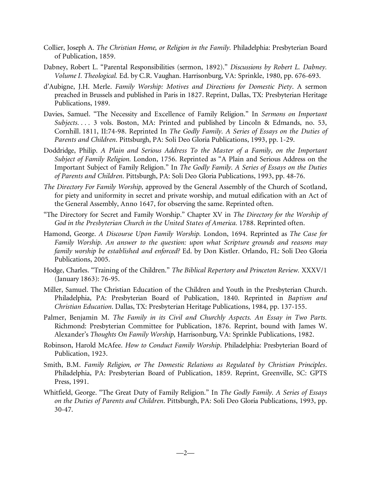- Collier, Joseph A. *The Christian Home, or Religion in the Family.* Philadelphia: Presbyterian Board of Publication, 1859.
- Dabney, Robert L. "Parental Responsibilities (sermon, 1892)." *Discussions by Robert L. Dabney. Volume I. Theological.* Ed. by C.R. Vaughan. Harrisonburg, VA: Sprinkle, 1980, pp. 676-693.
- d'Aubigne, J.H. Merle. *Family Worship: Motives and Directions for Domestic Piety*. A sermon preached in Brussels and published in Paris in 1827. Reprint, Dallas, TX: Presbyterian Heritage Publications, 1989.
- Davies, Samuel. "The Necessity and Excellence of Family Religion." In *Sermons on Important Subjects. . . .* 3 vols. Boston, MA: Printed and published by Lincoln & Edmands, no. 53, Cornhill. 1811, II:74-98. Reprinted In *The Godly Family. A Series of Essays on the Duties of Parents and Children*. Pittsburgh, PA: Soli Deo Gloria Publications, 1993, pp. 1-29.
- Doddridge, Philip. *A Plain and Serious Address To the Master of a Family, on the Important Subject of Family Religion.* London, 1756. Reprinted as "A Plain and Serious Address on the Important Subject of Family Religion." In *The Godly Family. A Series of Essays on the Duties of Parents and Children*. Pittsburgh, PA: Soli Deo Gloria Publications, 1993, pp. 48-76.
- *The Directory For Family Worship,* approved by the General Assembly of the Church of Scotland, for piety and uniformity in secret and private worship, and mutual edification with an Act of the General Assembly, Anno 1647, for observing the same. Reprinted often.
- "The Directory for Secret and Family Worship." Chapter XV in *The Directory for the Worship of God in the Presbyterian Church in the United States of America.* 1788. Reprinted often.
- Hamond, George. *A Discourse Upon Family Worship.* London, 1694. Reprinted as *The Case for Family Worship. An answer to the question: upon what Scripture grounds and reasons may family worship be established and enforced?* Ed. by Don Kistler. Orlando, FL: Soli Deo Gloria Publications, 2005.
- Hodge, Charles. "Training of the Children." *The Biblical Repertory and Princeton Review.* XXXV/1 (January 1863): 76-95.
- Miller, Samuel. The Christian Education of the Children and Youth in the Presbyterian Church. Philadelphia, PA: Presbyterian Board of Publication, 1840. Reprinted in *Baptism and Christian Education*. Dallas, TX: Presbyterian Heritage Publications, 1984, pp. 137-155.
- Palmer, Benjamin M. *The Family in its Civil and Churchly Aspects. An Essay in Two Parts.* Richmond: Presbyterian Committee for Publication, 1876. Reprint, bound with James W. Alexander's *Thoughts On Family Worship,* Harrisonburg, VA: Sprinkle Publications, 1982.
- Robinson, Harold McAfee. *How to Conduct Family Worship*. Philadelphia: Presbyterian Board of Publication, 1923.
- Smith, B.M. *Family Religion, or The Domestic Relations as Regulated by Christian Principles*. Philadelphia, PA: Presbyterian Board of Publication, 1859. Reprint, Greenville, SC: GPTS Press, 1991.
- Whitfield, George. "The Great Duty of Family Religion." In *The Godly Family. A Series of Essays on the Duties of Parents and Children*. Pittsburgh, PA: Soli Deo Gloria Publications, 1993, pp. 30-47.